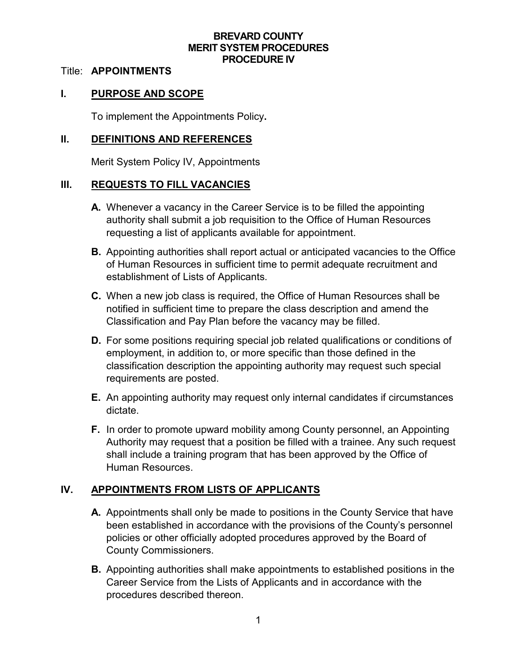### **BREVARD COUNTY MERIT SYSTEM PROCEDURES PROCEDURE IV**

#### Title: **APPOINTMENTS**

### **I. PURPOSE AND SCOPE**

To implement the Appointments Policy**.**

#### **II. DEFINITIONS AND REFERENCES**

Merit System Policy IV, Appointments

### **III. REQUESTS TO FILL VACANCIES**

- **A.** Whenever a vacancy in the Career Service is to be filled the appointing authority shall submit a job requisition to the Office of Human Resources requesting a list of applicants available for appointment.
- **B.** Appointing authorities shall report actual or anticipated vacancies to the Office of Human Resources in sufficient time to permit adequate recruitment and establishment of Lists of Applicants.
- **C.** When a new job class is required, the Office of Human Resources shall be notified in sufficient time to prepare the class description and amend the Classification and Pay Plan before the vacancy may be filled.
- **D.** For some positions requiring special job related qualifications or conditions of employment, in addition to, or more specific than those defined in the classification description the appointing authority may request such special requirements are posted.
- **E.** An appointing authority may request only internal candidates if circumstances dictate.
- **F.** In order to promote upward mobility among County personnel, an Appointing Authority may request that a position be filled with a trainee. Any such request shall include a training program that has been approved by the Office of Human Resources.

### **IV. APPOINTMENTS FROM LISTS OF APPLICANTS**

- **A.** Appointments shall only be made to positions in the County Service that have been established in accordance with the provisions of the County's personnel policies or other officially adopted procedures approved by the Board of County Commissioners.
- **B.** Appointing authorities shall make appointments to established positions in the Career Service from the Lists of Applicants and in accordance with the procedures described thereon.